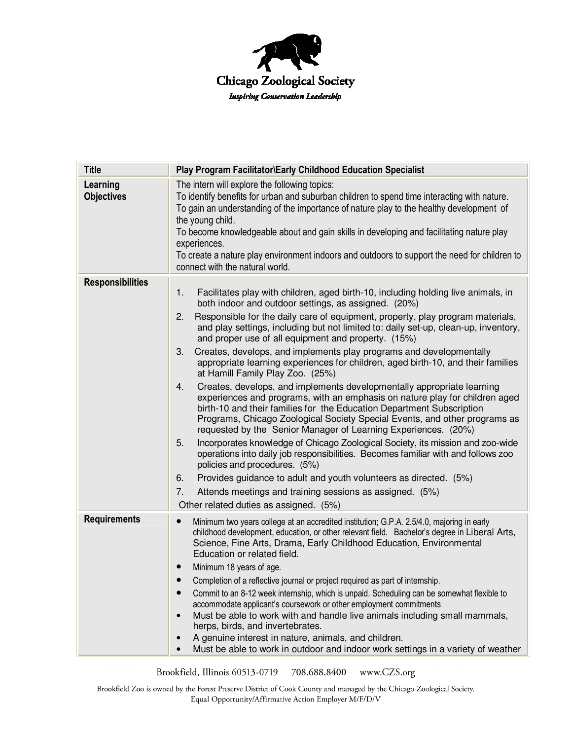

| <b>Title</b>                  | Play Program Facilitator\Early Childhood Education Specialist                                                                                                                                                                                                                                                                                                                                                                                                                                                                                                                                                                                                                                                                                                                                                                                                                                                                                                                                                                                                                                                                                                                                                                                                                                                                                                                           |
|-------------------------------|-----------------------------------------------------------------------------------------------------------------------------------------------------------------------------------------------------------------------------------------------------------------------------------------------------------------------------------------------------------------------------------------------------------------------------------------------------------------------------------------------------------------------------------------------------------------------------------------------------------------------------------------------------------------------------------------------------------------------------------------------------------------------------------------------------------------------------------------------------------------------------------------------------------------------------------------------------------------------------------------------------------------------------------------------------------------------------------------------------------------------------------------------------------------------------------------------------------------------------------------------------------------------------------------------------------------------------------------------------------------------------------------|
| Learning<br><b>Objectives</b> | The intern will explore the following topics:<br>To identify benefits for urban and suburban children to spend time interacting with nature.<br>To gain an understanding of the importance of nature play to the healthy development of<br>the young child.<br>To become knowledgeable about and gain skills in developing and facilitating nature play<br>experiences.<br>To create a nature play environment indoors and outdoors to support the need for children to<br>connect with the natural world.                                                                                                                                                                                                                                                                                                                                                                                                                                                                                                                                                                                                                                                                                                                                                                                                                                                                              |
| <b>Responsibilities</b>       | Facilitates play with children, aged birth-10, including holding live animals, in<br>1.<br>both indoor and outdoor settings, as assigned. (20%)<br>Responsible for the daily care of equipment, property, play program materials,<br>2.<br>and play settings, including but not limited to: daily set-up, clean-up, inventory,<br>and proper use of all equipment and property. (15%)<br>Creates, develops, and implements play programs and developmentally<br>3.<br>appropriate learning experiences for children, aged birth-10, and their families<br>at Hamill Family Play Zoo. (25%)<br>Creates, develops, and implements developmentally appropriate learning<br>4.<br>experiences and programs, with an emphasis on nature play for children aged<br>birth-10 and their families for the Education Department Subscription<br>Programs, Chicago Zoological Society Special Events, and other programs as<br>requested by the Senior Manager of Learning Experiences. (20%)<br>Incorporates knowledge of Chicago Zoological Society, its mission and zoo-wide<br>5.<br>operations into daily job responsibilities. Becomes familiar with and follows zoo<br>policies and procedures. (5%)<br>Provides guidance to adult and youth volunteers as directed. (5%)<br>6.<br>Attends meetings and training sessions as assigned. (5%)<br>7.<br>Other related duties as assigned. (5%) |
| <b>Requirements</b>           | Minimum two years college at an accredited institution; G.P.A. 2.5/4.0, majoring in early<br>$\bullet$<br>childhood development, education, or other relevant field. Bachelor's degree in Liberal Arts,<br>Science, Fine Arts, Drama, Early Childhood Education, Environmental<br>Education or related field.<br>Minimum 18 years of age.<br>Completion of a reflective journal or project required as part of internship.<br>Commit to an 8-12 week internship, which is unpaid. Scheduling can be somewhat flexible to<br>accommodate applicant's coursework or other employment commitments<br>Must be able to work with and handle live animals including small mammals,<br>$\bullet$<br>herps, birds, and invertebrates.<br>A genuine interest in nature, animals, and children.<br>Must be able to work in outdoor and indoor work settings in a variety of weather                                                                                                                                                                                                                                                                                                                                                                                                                                                                                                               |

Brookfield, Illinois 60513-0719 708.688.8400 www.CZS.org

Brookfield Zoo is owned by the Forest Preserve District of Cook County and managed by the Chicago Zoological Society. Equal Opportunity/Affirmative Action Employer M/F/D/V